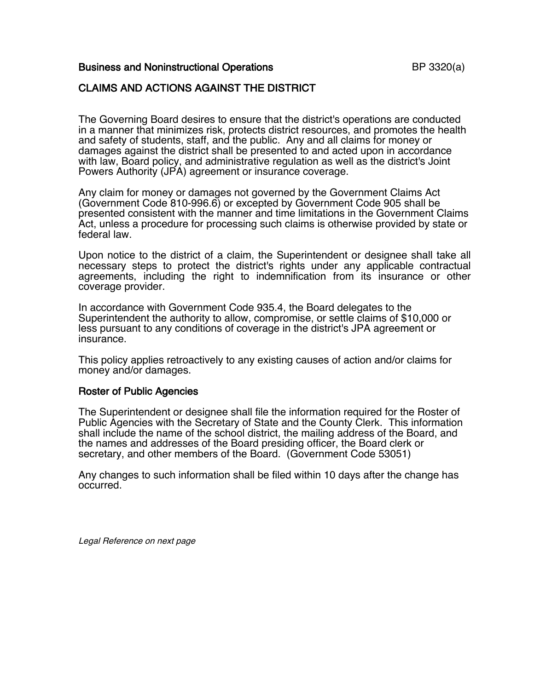## Business and Noninstructional Operations **BUSINESS** BP 3320(a)

## CLAIMS AND ACTIONS AGAINST THE DISTRICT

The Governing Board desires to ensure that the district's operations are conducted in a manner that minimizes risk, protects district resources, and promotes the health and safety of students, staff, and the public. Any and all claims for money or damages against the district shall be presented to and acted upon in accordance with law, Board policy, and administrative regulation as well as the district's Joint Powers Authority (JPA) agreement or insurance coverage.

Any claim for money or damages not governed by the Government Claims Act (Government Code 810-996.6) or excepted by Government Code 905 shall be presented consistent with the manner and time limitations in the Government Claims Act, unless a procedure for processing such claims is otherwise provided by state or federal law.

Upon notice to the district of a claim, the Superintendent or designee shall take all necessary steps to protect the district's rights under any applicable contractual agreements, including the right to indemnification from its insurance or other coverage provider.

In accordance with Government Code 935.4, the Board delegates to the Superintendent the authority to allow, compromise, or settle claims of \$10,000 or less pursuant to any conditions of coverage in the district's JPA agreement or insurance.

This policy applies retroactively to any existing causes of action and/or claims for money and/or damages.

## Roster of Public Agencies

The Superintendent or designee shall file the information required for the Roster of Public Agencies with the Secretary of State and the County Clerk. This information shall include the name of the school district, the mailing address of the Board, and the names and addresses of the Board presiding officer, the Board clerk or secretary, and other members of the Board. (Government Code 53051)

Any changes to such information shall be filed within 10 days after the change has occurred.

Legal Reference on next page